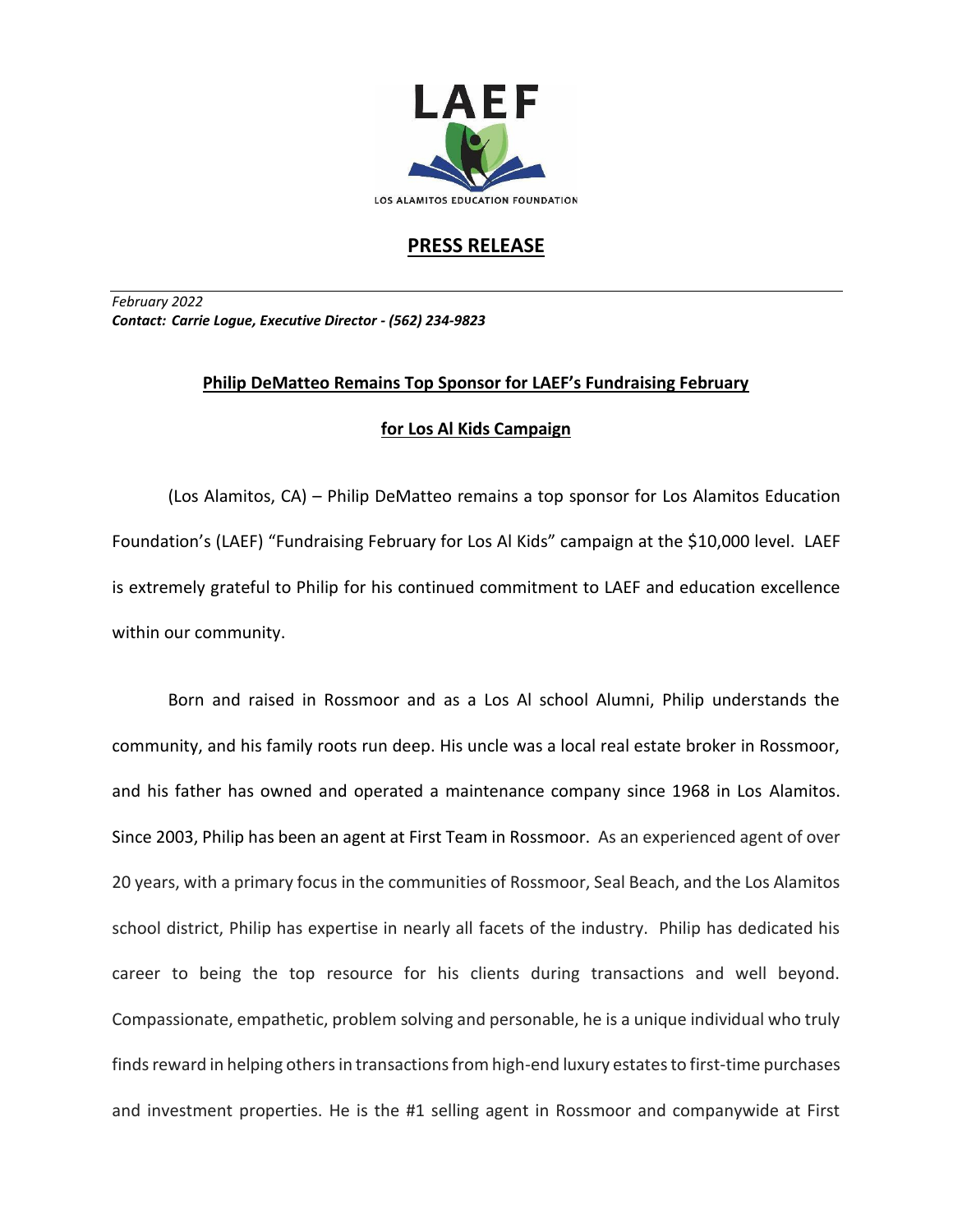

## **PRESS RELEASE**

*February 2022 Contact: Carrie Logue, Executive Director - (562) 234-9823*

## **Philip DeMatteo Remains Top Sponsor for LAEF's Fundraising February for Los Al Kids Campaign**

(Los Alamitos, CA) – Philip DeMatteo remains a top sponsor for Los Alamitos Education Foundation's (LAEF) "Fundraising February for Los Al Kids" campaign at the \$10,000 level. LAEF is extremely grateful to Philip for his continued commitment to LAEF and education excellence within our community.

Born and raised in Rossmoor and as a Los Al school Alumni, Philip understands the community, and his family roots run deep. His uncle was a local real estate broker in Rossmoor, and his father has owned and operated a maintenance company since 1968 in Los Alamitos. Since 2003, Philip has been an agent at First Team in Rossmoor. As an experienced agent of over 20 years, with a primary focus in the communities of Rossmoor, Seal Beach, and the Los Alamitos school district, Philip has expertise in nearly all facets of the industry. Philip has dedicated his career to being the top resource for his clients during transactions and well beyond. Compassionate, empathetic, problem solving and personable, he is a unique individual who truly finds reward in helping others in transactions from high-end luxury estates to first-time purchases and investment properties. He is the #1 selling agent in Rossmoor and companywide at First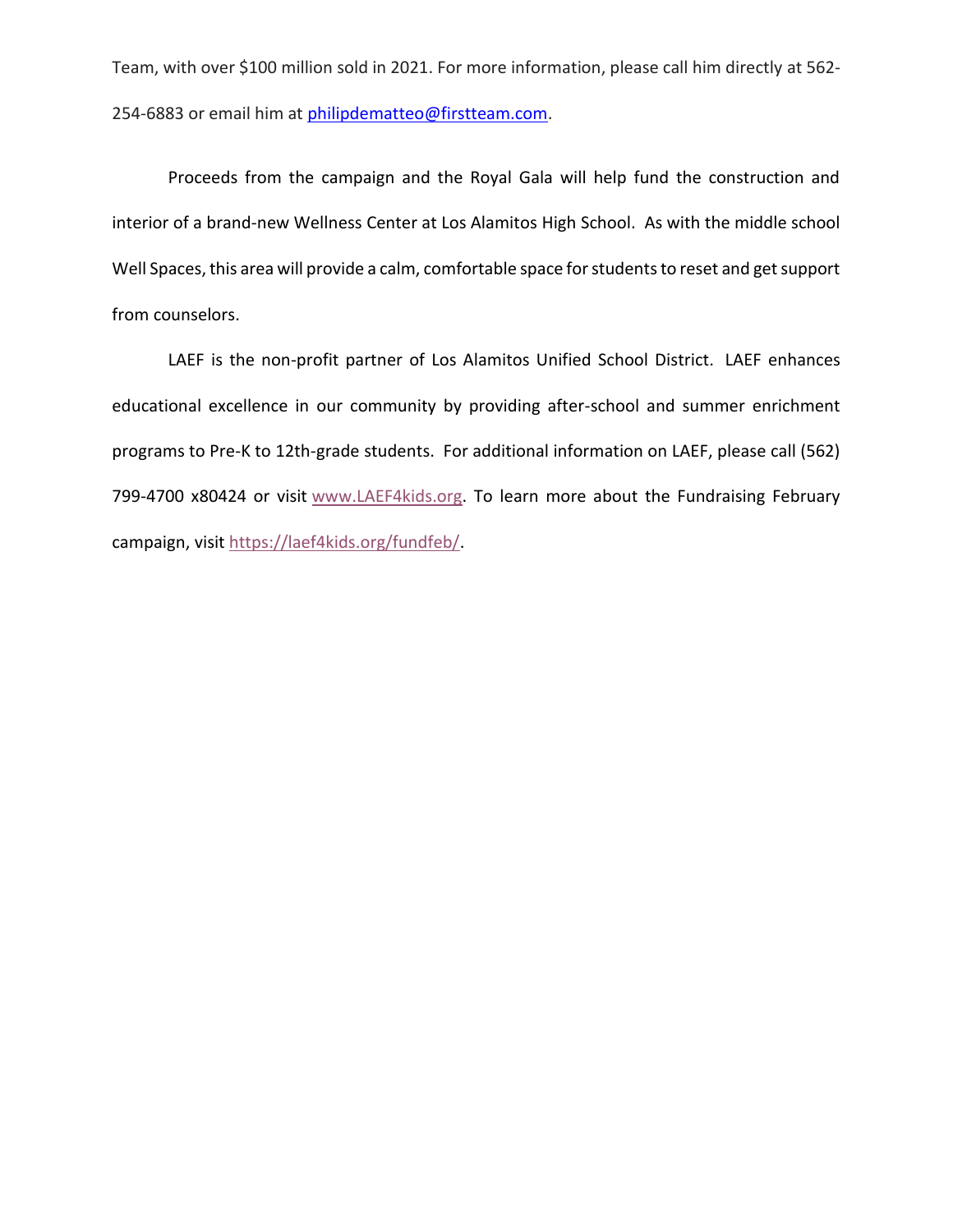Team, with over \$100 million sold in 2021. For more information, please call him directly at 562 254-6883 or email him at [philipdematteo@firstteam.com.](mailto:philipdematteo@firstteam.com)

Proceeds from the campaign and the Royal Gala will help fund the construction and interior of a brand-new Wellness Center at Los Alamitos High School. As with the middle school Well Spaces, this area will provide a calm, comfortable space for students to reset and get support from counselors.

LAEF is the non-profit partner of Los Alamitos Unified School District. LAEF enhances educational excellence in our community by providing after-school and summer enrichment programs to Pre-K to 12th-grade students. For additional information on LAEF, please call (562) 799-4700 x80424 or visit [www.LAEF4kids.org.](http://www.laef4kids.org/) To learn more about the Fundraising February campaign, visit [https://laef4kids.org/fundfeb/.](https://laef4kids.org/fundfeb)